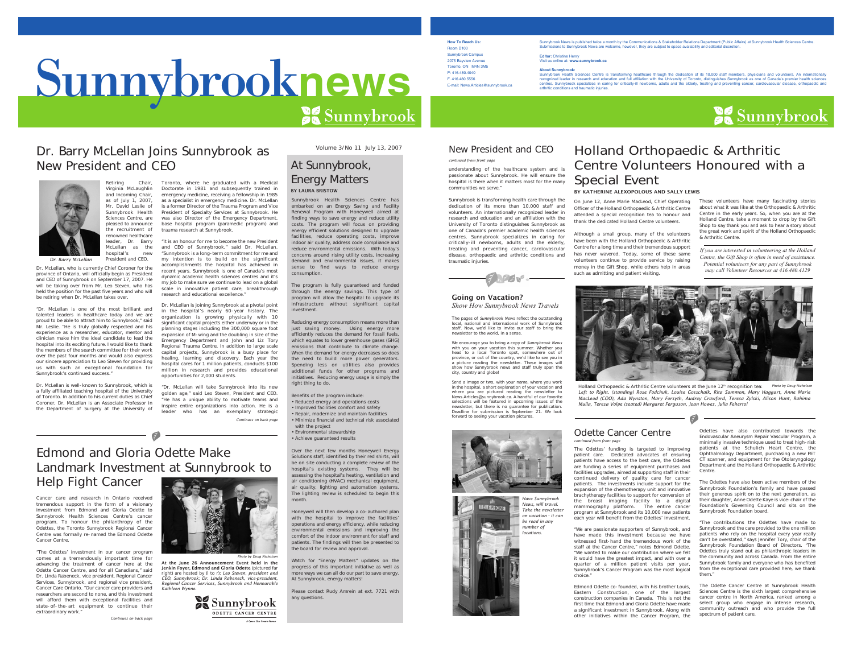# Sunnybrook**news**

# Dr. Barry McLellan Joins Sunnybrook as New President and CEO



Retiring Chair, Virginia McLaughlin and Incoming Chair, as of July 1, 2007, Mr. David Leslie ofSunnybrook Health Sciences Centre, are pleased to announce the recruitment of renowned healthcare leader, Dr. Barry McLellan as thenew hospital's President and CEO.*Dr. Barry McLellan*

Dr. McLellan, who is currently Chief Coroner for the province of Ontario, will officially begin as President and CEO of Sunnybrook on September 17, 2007. He will be taking over from Mr. Leo Steven, who has held the position for the past five years and who will be retiring when Dr. McLellan takes over.

"Dr. McLellan is one of the most brilliant and talented leaders in healthcare today and we are proud to be able to attract him to Sunnybrook," said Mr. Leslie. "He is truly globally respected and his experience as a researcher, educator, mentor and clinician make him the ideal candidate to lead the hospital into its exciting future. I would like to thank the members of the search committee for their work over the past four months and would also express our sincere appreciation to Leo Steven for providing us with such an exceptional foundation for Sunnybrook's continued success."

Dr. McLellan is well-known to Sunnybrook, which is a fully affiliated teaching hospital of the University of Toronto. In addition to his current duties as Chief Coroner, Dr. McLellan is an Associate Professor inthe Department of Surgery at the University of

Toronto, where he graduated with a Medical Doctorate in 1981 and subsequently trained in emergency medicine, receiving a fellowship in 1985 as a specialist in emergency medicine. Dr. McLellan is a former Director of the Trauma Program and Vice President of Specialty Services at Sunnybrook. He was also Director of the Emergency Department, base hospital program (paramedic program) and trauma research at Sunnybrook.

"It is an honour for me to become the new President and CEO of Sunnybrook," said Dr. McLellan. "Sunnybrook is a long-term commitment for me and my intention is to build on the significant accomplishments the hospital has achieved in recent years. Sunnybrook is one of Canada's most dynamic academic health sciences centres and it's my job to make sure we continue to lead on a global scale in innovative patient care, breakthrough research and educational excellence.

Dr. McLellan is joining Sunnybrook at a pivotal point in the hospital's nearly 60-year history. The organization is growing physically with 10 significant capital projects either underway or in the planning stages including the 300,000 square foot expansion of M-wing and the doubling in size of the Emergency Department and John and Liz Tory Regional Trauma Centre. In addition to large scale capital projects, Sunnybrook is a busy place for healing, learning and discovery. Each year the hospital cares for 1 million patients, conducts \$100 million in research and provides educational opportunities for 2,000 students.

"Dr. McLellan will take Sunnybrook into its new golden age," said Leo Steven, President and CEO. "He has a unique ability to motivate teams and inspire entire organizations into action. He is a leader who has an exemplary strategic *Continues on back page*

# Edmond and Gloria Odette MakeLandmark Investment at Sunnybrook to Help Fight Cancer

 $\overline{\phantom{a}}$   $\overline{\phantom{a}}$   $\overline{\phantom{a}}$ 

Cancer care and research in Ontario received tremendous support in the form of a visionary investment from Edmond and Gloria Odette to Sunnybrook Health Sciences Centre's cancer program. To honour the philanthropy of the Odettes, the Toronto Sunnybrook Regional Cancer Centre was formally re-named the Edmond Odette Cancer Centre.

"The Odettes' investment in our cancer program comes at a tremendously important time for advancing the treatment of cancer here at the Odette Cancer Centre, and for all Canadians," said Dr. Linda Rabeneck, vice president, Regional Cancer Services, Sunnybrook, and regional vice president, Cancer Care Ontario. "Our cancer care providers and researchers are second to none, and this investment will afford them with exceptional facilities and state-of-the-art equipment to continue their extraordinary work."

*Continues on back page*

At the June 26 Announcement Event held in the Jenkin Foyer, Edmond and Gloria Odette (pictured far right) are hosted by (l to r): *Leo Steven, president and CEO, Sunnybrook; Dr. Linda Rabeneck, vice-president, Regional Cancer Services, Sunnybrook and Honourable Kathleen Wynne.*



*Photo by Doug Nicholson*

Volume 3/No 11 July 13, 2007

### At Sunnybrook, Energy Matters BY LAURA BRISTOW

Sunnybrook Health Sciences Centre has embarked on an Energy Saving and Facility Renewal Program with Honeywell aimed at finding ways to save energy and reduce utility costs. The program will focus on providing energy efficient solutions designed to upgrade facilities, reduce operating costs, improve indoor air quality, address code compliance and reduce environmental emissions. With today's concerns around rising utility costs, increasing demand and environmental issues, it makes sense to find ways to reduce energy consumption.

The program is fully guaranteed and funded through the energy savings. This type of program will allow the hospital to upgrade its infrastructure without significant capital investment.

Reducing energy consumption means more than just saving money. Using energy more efficiently reduces the demand for fossil fuels, which equates to lower greenhouse gases (GHG) emissions that contribute to climate change. When the demand for energy decreases so does the need to build more power generators. Spending less on utilities also provides additional funds for other programs and initiatives. Reducing energy usage is simply the right thing to do.

Benefits of the program include: • Reduced energy and operations costs • Improved facilities comfort and safety • Repair, modernize and maintain facilities • Minimize financial and technical risk associated with the project

• Environmental stewardship • Achieve guaranteed results

Over the next few months Honeywell Energy Solutions staff, identified by their red shirts, will be on site conducting a complete review of the hospital's existing systems. They will be assessing the hospital's heating, ventilation and air conditioning (HVAC) mechanical equipment, air quality, lighting and automation systems. The lighting review is scheduled to begin this month.

Honeywell will then develop a co-authored plan with the hospital to improve the facilities' operations and energy efficiency, while reducing environmental emissions and improving the comfort of the indoor environment for staff and patients. The findings will then be presented to the board for review and approval.

Watch for "Energy Matters" updates on the progress of this important initiative as well as more ways we can all do our part to save energy. At Sunnybrook, energy matters!

Please contact Rudy Amrein at ext. 7721 with any questions.

Sunnybrook News is published twice a month by the Communications & Stakeholder Relations Department (Public Affairs) at Sunnybrook Health Sciences Centre. Submissions to Sunnybrook News are welcome, however, they are subject to space availability and editorial discretion.

**Editor:** Christine Henry Visit us online at: **www.sunnybrook.ca**

About Sumybrook:<br>Sumybrook Health Sciences Centre is transforming healthcare through the dedication of its 10,000 staff members, physicians and volunteers. An internationally<br>recognizes leader in research and education are



### New President and CEO

**How To Reach Us:**Room D100 Sunnybrook Campus 2075 Bayview Avenue Toronto, ON M4N 3M5P: 416.480.4040 F. 416.480.5556E-mail: News.Articles@sunnybrook.ca

understanding of the healthcare system and is *continued from front page*

passionate about Sunnybrook. He will ensure the hospital is there when it matters most for the many communities we serve."Sunnybrook is transforming health care through the dedication of its more than 10,000 staff and

 volunteers. An internationally recognized leader in research and education and an affiliation with the University of Toronto distinguishes Sunnybrook as one of Canada's premier academic health sciences centres. Sunnybrook specializes in caring for critically-ill newborns, adults and the elderly treating and preventing cancer, cardiovascular disease, orthopaedic and arthritic conditions and traumatic injuries.



*Show How Sunnybrook News Travels*

 $7.748$ 

The pages of *Sunnybrook News* reflect the outstanding local, national and international work of Sunnybrook staff. Now, we'd like to invite our staff to bring the newsletter to the world, in a sense.

We encourage you to bring a copy of *Sunnybrook News* with you on your vacation this summer. Whether you head to a local Toronto spot, somewhere out of province, or out of the country, we'd like to see you in a picture reading the newsletter. These images will show how Sunnybrook news and staff truly span the city, country and globe!

in the hospital, a short explanation of your vacation and where you are pictured reading the newsletter to News.Articles@sunnybrook.ca. A handful of our favorite selections will be featured in upcoming issues of the newsletter, but there is no guarantee for publication. Deadline for submission is September 21. We look forward to seeing your vacation pictures.





Holland Orthopaedic & Arthritic Centre Volunteers Honoured with a

### Special Event BY KATHERINE ALEXOPOLOUS AND SALLY LEWISOn June 12, Anne Marie MacLeod, Chief Operating

Officer of the Holland Orthopaedic & Arthritic Centre attended a special recognition tea to honour and thank the dedicated Holland Centre volunteers.

Although a small group, many of the volunteers have been with the Holland Orthopaedic & Arthritic Centre for a long time and their tremendous support has never wavered. Today, some of these same volunteers continue to provide service by raising money in the Gift Shop, while others help in areas such as admitting and patient visiting.

These volunteers have many fascinating stories about what it was like at the Orthopaedic & Arthritic Centre in the early years. So, when you are at the Holland Centre, take a moment to drop by the Gift Shop to say thank you and ask to hear a story about the great work and spirit of the Holland Orthopaedic & Arthritic Centre.

*If you are interested in volunteering at the Holland Centre, the Gift Shop is often in need of assistance. Potential volunteers for any part of Sunnybrook may call Volunteer Resources at 416.480.4129*



Holland Orthopaedic & Arthritic Centre volunteers at the June 12<sup>th</sup> recognition tea: *Left to Right. (standing) Rose Fodchuk, Louise Gosschalk, Rita Sammon, Mary Haggart, Anne Marie MacLeod (COO), Ada Wynston, Mary Forsyth, Audrey Crawford, Teresa Zylski, Alison Hunt, Rahima Mulla, Teresa Volpe (seated) Margaret Ferguson, Joan Howes, Julia Fehertol Photo by Doug Nicholson*

 $\mathcal{F}$ 





### Odette Cancer Centre*continued from front page* The Odettes' funding is targeted to improving

patient care. Dedicated advocates of ensuring .<br>patients have access to the best care, the Odettes are funding a series of equipment purchases and facilities upgrades, aimed at supporting staff in their continued delivery of quality care for cancer patients. The investments include support for the expansion of the chemotherapy unit and innovative brachytherapy facilities to support for conversion of the breast imaging facility to a digital mammography platform. The entire cancer program at Sunnybrook and its 10,000 new patients each year will benefit from the Odettes' investment.

"We are passionate supporters of Sunnybrook, and have made this investment because we have witnessed first-hand the tremendous work of the staff at the Cancer Centre," notes Edmond Odette. "We wanted to make our contribution where we felt it would have the greatest impact, and with over a modificant controller patient visits per year Sunnybrook's Cancer Program was the most logical choice."

Edmond Odette co-founded, with his brother Louis, Eastern Construction, one of the largest construction companies in Canada. This is not the first time that Edmond and Gloria Odette have made a significant investment in Sunnybrook. Along with other initiatives within the Cancer Program, the

Odettes have also contributed towards the Endovascular Aneurysm Repair Vascular Program, a minimally invasive technique used to treat high-risk patients at the Schulich Heart Centre, the Ophthalmology Department, purchasing a new PET CT scanner, and equipment for the Otolaryngology Department and the Holland Orthopaedic & Arthriti Centre.

The Odettes have also been active members of the Sunnybrook Foundation's family and have passed their generous spirit on to the next generation, as their daughter, Anne Odette Kaye is vice-chair of the Foundation's Governing Council and sits on the Sunnybrook Foundation board.

"The contributions the Odettes have made to Sunnybrook and the care provided to the one million patients who rely on the hospital every year really can't be overstated," says Jennifer Tory, chair of the Sunnybrook Foundation Board of Directors. "The Odettes truly stand out as philanthropic leaders in the community and across Canada. From the entire Sunnybrook family and everyone who has benefited from the exceptional care provided here, we thank them."

The Odette Cancer Centre at Sunnybrook Health Sciences Centre is the sixth largest comprehensive cancer centre in North America, ranked among a select group who engage in intense research, community outreach and who provide the full spectrum of patient care.

Send a image or two, with your name, where you work